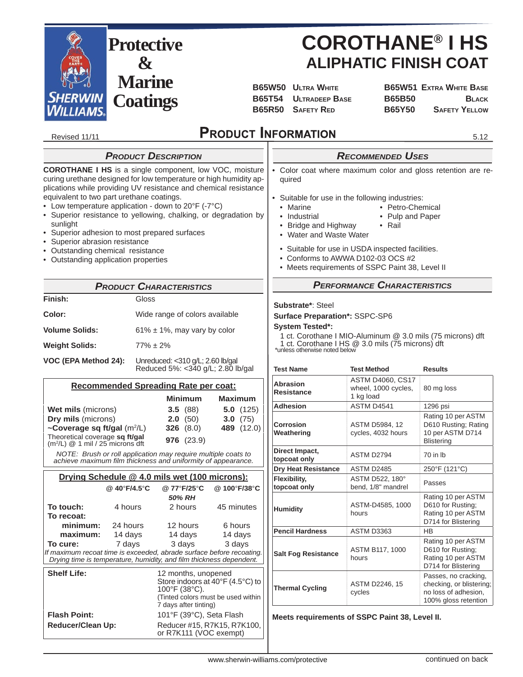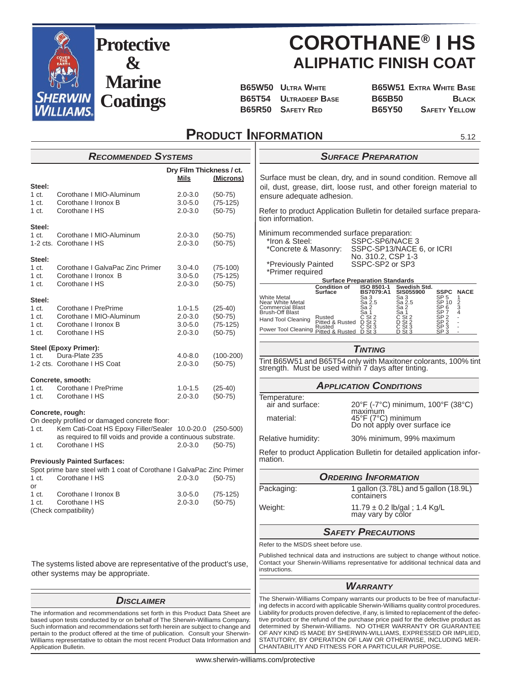

# **COROTHANE® I HS ALIPHATIC FINISH COAT**

**B65W50 ULTRA WHITE B65W51 EXTRA WHITE BASE**

B65T54 ULTRADEEP BASE B65B50 BLACK **B65R50 SAFETY RED B65Y50 SAFETY YELLOW** 

# **PRODUCT INFORMATION**

 $5.12$ 

|                                                                                                                                                                                                                                                                     | <b>RECOMMENDED SYSTEMS</b>                                                                                |             |                          |                                                            | <b>SURFACE PREPARATION</b>                                                                                                                                                                                                                                                                                                             |
|---------------------------------------------------------------------------------------------------------------------------------------------------------------------------------------------------------------------------------------------------------------------|-----------------------------------------------------------------------------------------------------------|-------------|--------------------------|------------------------------------------------------------|----------------------------------------------------------------------------------------------------------------------------------------------------------------------------------------------------------------------------------------------------------------------------------------------------------------------------------------|
|                                                                                                                                                                                                                                                                     |                                                                                                           |             | Dry Film Thickness / ct. |                                                            |                                                                                                                                                                                                                                                                                                                                        |
|                                                                                                                                                                                                                                                                     |                                                                                                           | <b>Mils</b> | (Microns)                |                                                            | Surface must be clean, dry, and in sound condition. Remove all                                                                                                                                                                                                                                                                         |
| Steel:<br>1 <sub>ct.</sub>                                                                                                                                                                                                                                          | Corothane   MIO-Aluminum                                                                                  | $2.0 - 3.0$ | $(50-75)$                |                                                            | oil, dust, grease, dirt, loose rust, and other foreign material to                                                                                                                                                                                                                                                                     |
| 1 ct.                                                                                                                                                                                                                                                               | Corothane I Ironox B                                                                                      | $3.0 - 5.0$ | $(75-125)$               | ensure adequate adhesion.                                  |                                                                                                                                                                                                                                                                                                                                        |
| 1 ct.                                                                                                                                                                                                                                                               | Corothane I HS                                                                                            | $2.0 - 3.0$ | $(50-75)$                |                                                            | Refer to product Application Bulletin for detailed surface prepara-                                                                                                                                                                                                                                                                    |
|                                                                                                                                                                                                                                                                     |                                                                                                           |             |                          | tion information.                                          |                                                                                                                                                                                                                                                                                                                                        |
| Steel:                                                                                                                                                                                                                                                              |                                                                                                           |             |                          |                                                            |                                                                                                                                                                                                                                                                                                                                        |
| 1 ct.                                                                                                                                                                                                                                                               | Corothane   MIO-Aluminum<br>1-2 cts. Corothane I HS                                                       | $2.0 - 3.0$ | $(50-75)$                | Minimum recommended surface preparation:<br>*Iron & Steel: | SSPC-SP6/NACE 3                                                                                                                                                                                                                                                                                                                        |
|                                                                                                                                                                                                                                                                     |                                                                                                           | $2.0 - 3.0$ | $(50-75)$                | *Concrete & Masonry:                                       | SSPC-SP13/NACE 6, or ICRI                                                                                                                                                                                                                                                                                                              |
| Steel:                                                                                                                                                                                                                                                              |                                                                                                           |             |                          |                                                            | No. 310.2, CSP 1-3                                                                                                                                                                                                                                                                                                                     |
| 1 ct.                                                                                                                                                                                                                                                               | Corothane I GalvaPac Zinc Primer                                                                          | $3.0 - 4.0$ | $(75-100)$               | *Previously Painted                                        | SSPC-SP2 or SP3                                                                                                                                                                                                                                                                                                                        |
| 1 ct.                                                                                                                                                                                                                                                               | Corothane I Ironox B                                                                                      | $3.0 - 5.0$ | $(75-125)$               | *Primer required                                           |                                                                                                                                                                                                                                                                                                                                        |
| 1 ct.                                                                                                                                                                                                                                                               | Corothane I HS                                                                                            | $2.0 - 3.0$ | $(50-75)$                | <b>Condition of</b>                                        | <b>Surface Preparation Standards</b><br>ISO 8501-1<br>Swedish Std.                                                                                                                                                                                                                                                                     |
|                                                                                                                                                                                                                                                                     |                                                                                                           |             |                          | Surface<br>White Metal                                     | <b>SIS055900</b><br><b>SSPC NACE</b><br>BS7079:A1<br>Sa 3                                                                                                                                                                                                                                                                              |
| Steel:<br>1 ct.                                                                                                                                                                                                                                                     | Corothane I PrePrime                                                                                      | $1.0 - 1.5$ | $(25-40)$                | Near White Metal<br>Commercial Blast<br>Brush-Off Blast    | SP 5<br>SP 10<br>SP 6<br>SP 7<br>$\frac{5a}{3a}$<br>$\frac{3}{2}$<br>$\frac{2}{3a}$<br>$\frac{1}{2}$<br>$\frac{1}{2}$<br>4<br>Sa 2.5                                                                                                                                                                                                   |
| 1 ct.                                                                                                                                                                                                                                                               | Corothane I MIO-Aluminum                                                                                  | $2.0 - 3.0$ | $(50-75)$                |                                                            | Sa 2<br>Sa 1                                                                                                                                                                                                                                                                                                                           |
| 1 ct.                                                                                                                                                                                                                                                               | Corothane I Ironox B                                                                                      | $3.0 - 5.0$ | $(75-125)$               | Rusted<br>Pitted & Rusted<br>Hand Tool Cleaning            | SP 2<br>SP 2<br>SP 3<br>SP 3<br>$\overline{C}_{St}$ $\overline{S}_{t}$ $\overline{S}_{t}$ $\overline{S}_{t}$<br>$\overline{C}_{S}$ st 2<br>D $\overline{S}_{S}$ t 3                                                                                                                                                                    |
| 1 <sub>ct.</sub>                                                                                                                                                                                                                                                    | Corothane I HS                                                                                            | $2.0 - 3.0$ | $(50-75)$                | Rusted<br>Pitted & Rusted<br>Power Tool Cleaning           | D<br>$S+3$<br>$D$ $St$ 3                                                                                                                                                                                                                                                                                                               |
|                                                                                                                                                                                                                                                                     |                                                                                                           |             |                          |                                                            |                                                                                                                                                                                                                                                                                                                                        |
|                                                                                                                                                                                                                                                                     | <b>Steel (Epoxy Primer):</b>                                                                              |             |                          |                                                            | <b>TINTING</b>                                                                                                                                                                                                                                                                                                                         |
| 1 <sub>ct.</sub>                                                                                                                                                                                                                                                    | Dura-Plate 235                                                                                            | $4.0 - 8.0$ | $(100-200)$              |                                                            | Tint B65W51 and B65T54 only with Maxitoner colorants, 100% tint                                                                                                                                                                                                                                                                        |
|                                                                                                                                                                                                                                                                     | 1-2 cts. Corothane I HS Coat                                                                              | $2.0 - 3.0$ | $(50-75)$                | strength. Must be used within 7 days after tinting.        |                                                                                                                                                                                                                                                                                                                                        |
|                                                                                                                                                                                                                                                                     | Concrete, smooth:                                                                                         |             |                          |                                                            |                                                                                                                                                                                                                                                                                                                                        |
| 1 ct.                                                                                                                                                                                                                                                               | Corothane I PrePrime                                                                                      | $1.0 - 1.5$ | $(25-40)$                |                                                            | <b>APPLICATION CONDITIONS</b>                                                                                                                                                                                                                                                                                                          |
| 1 <sub>ct.</sub>                                                                                                                                                                                                                                                    | Corothane I HS                                                                                            | $2.0 - 3.0$ | $(50-75)$                | Temperature:                                               |                                                                                                                                                                                                                                                                                                                                        |
|                                                                                                                                                                                                                                                                     |                                                                                                           |             |                          | air and surface:                                           | 20°F (-7°C) minimum, 100°F (38°C)                                                                                                                                                                                                                                                                                                      |
|                                                                                                                                                                                                                                                                     | Concrete, rough:                                                                                          |             |                          | material:                                                  | maximum<br>45°F (7°C) minimum                                                                                                                                                                                                                                                                                                          |
| 1 ct.                                                                                                                                                                                                                                                               | On deeply profiled or damaged concrete floor:<br>Kem Cati-Coat HS Epoxy Filler/Sealer 10.0-20.0 (250-500) |             |                          |                                                            | Do not apply over surface ice                                                                                                                                                                                                                                                                                                          |
|                                                                                                                                                                                                                                                                     | as required to fill voids and provide a continuous substrate.                                             |             |                          |                                                            |                                                                                                                                                                                                                                                                                                                                        |
| 1 ct.                                                                                                                                                                                                                                                               | Corothane I HS                                                                                            | $2.0 - 3.0$ | $(50-75)$                | Relative humidity:                                         | 30% minimum, 99% maximum                                                                                                                                                                                                                                                                                                               |
|                                                                                                                                                                                                                                                                     |                                                                                                           |             |                          |                                                            | Refer to product Application Bulletin for detailed application infor-                                                                                                                                                                                                                                                                  |
|                                                                                                                                                                                                                                                                     | <b>Previously Painted Surfaces:</b>                                                                       |             |                          | mation.                                                    |                                                                                                                                                                                                                                                                                                                                        |
|                                                                                                                                                                                                                                                                     | Spot prime bare steel with 1 coat of Corothane I GalvaPac Zinc Primer                                     |             |                          |                                                            | <b>ORDERING INFORMATION</b>                                                                                                                                                                                                                                                                                                            |
| 1 ct.                                                                                                                                                                                                                                                               | Corothane I HS                                                                                            | $2.0 - 3.0$ | $(50-75)$                |                                                            |                                                                                                                                                                                                                                                                                                                                        |
| or<br>1 <sub>ct.</sub>                                                                                                                                                                                                                                              | Corothane I Ironox B                                                                                      | $3.0 - 5.0$ | $(75-125)$               | Packaging:                                                 | 1 gallon (3.78L) and 5 gallon (18.9L)                                                                                                                                                                                                                                                                                                  |
| 1 <sub>ct.</sub>                                                                                                                                                                                                                                                    | Corothane I HS                                                                                            | $2.0 - 3.0$ | $(50-75)$                |                                                            | containers                                                                                                                                                                                                                                                                                                                             |
|                                                                                                                                                                                                                                                                     | (Check compatibility)                                                                                     |             |                          | Weight:                                                    | 11.79 $\pm$ 0.2 lb/gal; 1.4 Kg/L                                                                                                                                                                                                                                                                                                       |
|                                                                                                                                                                                                                                                                     |                                                                                                           |             |                          |                                                            | may vary by color                                                                                                                                                                                                                                                                                                                      |
|                                                                                                                                                                                                                                                                     |                                                                                                           |             |                          |                                                            | <b>SAFETY PRECAUTIONS</b>                                                                                                                                                                                                                                                                                                              |
|                                                                                                                                                                                                                                                                     |                                                                                                           |             |                          | Refer to the MSDS sheet before use.                        |                                                                                                                                                                                                                                                                                                                                        |
|                                                                                                                                                                                                                                                                     |                                                                                                           |             |                          |                                                            | Published technical data and instructions are subject to change without notice.                                                                                                                                                                                                                                                        |
|                                                                                                                                                                                                                                                                     | The systems listed above are representative of the product's use,                                         |             |                          |                                                            | Contact your Sherwin-Williams representative for additional technical data and                                                                                                                                                                                                                                                         |
|                                                                                                                                                                                                                                                                     | other systems may be appropriate.                                                                         |             |                          | instructions.                                              |                                                                                                                                                                                                                                                                                                                                        |
|                                                                                                                                                                                                                                                                     |                                                                                                           |             |                          |                                                            | <b>WARRANTY</b>                                                                                                                                                                                                                                                                                                                        |
|                                                                                                                                                                                                                                                                     |                                                                                                           |             |                          |                                                            | The Sherwin-Williams Company warrants our products to be free of manufactur-                                                                                                                                                                                                                                                           |
| <b>DISCLAIMER</b><br>The information and recommendations set forth in this Product Data Sheet are<br>based upon tests conducted by or on behalf of The Sherwin-Williams Company.<br>Such information and recommendations set forth herein are subject to change and |                                                                                                           |             |                          |                                                            | ing defects in accord with applicable Sherwin-Williams quality control procedures.<br>Liability for products proven defective, if any, is limited to replacement of the defec-<br>tive product or the refund of the purchase price paid for the defective product as<br>determined by Sherwin-Williams. NO OTHER WARRANTY OR GUARANTEE |

Williams representative to obtain the most recent Product Data Information and

Application Bulletin.

STATUTORY, BY OPERATION OF LAW OR OTHERWISE, INCLUDING MER-

CHANTABILITY AND FITNESS FOR A PARTICULAR PURPOSE.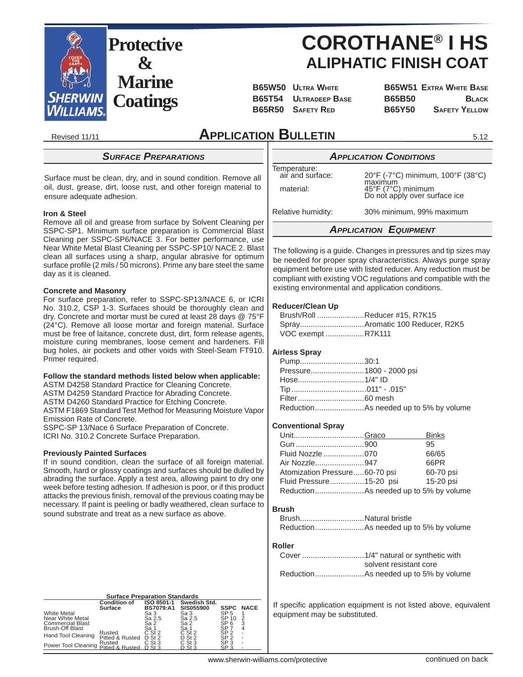

# **COROTHANE® I HS ALIPHATIC FINISH COAT**

**B65W50 ULTRA WHITE B65W51 EXTRA WHITE BASE B65T54 ULTRADEEP BASE B65B50 BLACK B65R50 SAFETY RED B65Y50 SAFETY YELLOW** 

5.12

Revised 11/11

# **APPLICATION BULLETIN**

# *SURFACE PREPARATIONS*

Surface must be clean, dry, and in sound condition. Remove all oil, dust, grease, dirt, loose rust, and other foreign material to ensure adequate adhesion.

## **Iron & Steel**

Remove all oil and grease from surface by Solvent Cleaning per SSPC-SP1. Minimum surface preparation is Commercial Blast Cleaning per SSPC-SP6/NACE 3. For better performance, use Near White Metal Blast Cleaning per SSPC-SP10/ NACE 2. Blast clean all surfaces using a sharp, angular abrasive for optimum surface profile (2 mils / 50 microns). Prime any bare steel the same day as it is cleaned.

#### **Concrete and Masonry**

For surface preparation, refer to SSPC-SP13/NACE 6, or ICRI No. 310.2, CSP 1-3. Surfaces should be thoroughly clean and dry. Concrete and mortar must be cured at least 28 days @ 75°F (24°C). Remove all loose mortar and foreign material. Surface must be free of laitance, concrete dust, dirt, form release agents, moisture curing membranes, loose cement and hardeners. Fill bug holes, air pockets and other voids with Steel-Seam FT910. Primer required.

## **Follow the standard methods listed below when applicable:**

ASTM D4258 Standard Practice for Cleaning Concrete.

ASTM D4259 Standard Practice for Abrading Concrete.

ASTM D4260 Standard Practice for Etching Concrete.

ASTM F1869 Standard Test Method for Measuring Moisture Vapor Emission Rate of Concrete.

SSPC-SP 13/Nace 6 Surface Preparation of Concrete.

ICRI No. 310.2 Concrete Surface Preparation.

## **Previously Painted Surfaces**

If in sound condition, clean the surface of all foreign material. Smooth, hard or glossy coatings and surfaces should be dulled by abrading the surface. Apply a test area, allowing paint to dry one week before testing adhesion. If adhesion is poor, or if this product attacks the previous finish, removal of the previous coating may be necessary. If paint is peeling or badly weathered, clean surface to sound substrate and treat as a new surface as above.

| <b>Surface Preparation Standards</b>                       |                                  |                                |                                  |                                            |             |
|------------------------------------------------------------|----------------------------------|--------------------------------|----------------------------------|--------------------------------------------|-------------|
|                                                            | <b>Condition of</b><br>Surface   | ISO 8501-1<br><b>BS7079:A1</b> | Swedish Std.<br><b>SIS055900</b> | <b>SSPC</b>                                | <b>NACE</b> |
| White Metal<br>Near White Metal<br><b>Commercial Blast</b> |                                  | Sa 3<br>Sa 2.5<br>Sa 2         | Sa 3<br>Sa 2.5<br>Sa 2           | SP 5<br>SP 10<br>SP 6                      | 2<br>3      |
| Brush-Off Blast<br><b>Hand Tool Cleaning</b>               | Rusted<br>Pitted & Rusted        | Sa 1<br>$C$ St 2<br>$D$ St 2   | Sa 1<br>$C$ St $2$<br>$D$ St 2   | SP :<br>SP <sub>2</sub><br>SP <sub>2</sub> |             |
| Power Tool Cleaning                                        | Rusted<br>Pitted & Rusted D St 3 | $C$ St 3                       | $C$ St 3<br>D St 3               | SP <sub>3</sub><br>SP <sub>3</sub>         | ۰           |

# *APPLICATION CONDITIONS*

Temperature:<br>air and surface:

 $20^{\circ}$ F (-7°C) minimum, 100°F (38°C) maximum<br>15°F (7°C) میں این میں این میں 45°F (7°C) minimum Do not apply over surface ice

Relative humidity: 30% minimum, 99% maximum

# *APPLICATION EQUIPMENT*

The following is a guide. Changes in pressures and tip sizes may be needed for proper spray characteristics. Always purge spray equipment before use with listed reducer. Any reduction must be compliant with existing VOC regulations and compatible with the existing environmental and application conditions.

## **Reducer/Clean Up**

| Brush/Roll Reducer #15, R7K15 |  |
|-------------------------------|--|
|                               |  |
| VOC exempt R7K111             |  |

## **Airless Spray**

| Pump30:1                 |  |
|--------------------------|--|
| Pressure 1800 - 2000 psi |  |
|                          |  |
|                          |  |
|                          |  |
|                          |  |
|                          |  |

## **Conventional Spray**

| UnitGraco                     | <b>Binks</b> |
|-------------------------------|--------------|
|                               | 95           |
| Fluid Nozzle 070              | 66/65        |
| Air Nozzle947                 | 66PR         |
| Atomization Pressure60-70 psi | 60-70 psi    |
| Fluid Pressure15-20 psi       | 15-20 psi    |
|                               |              |

## **Brush**

| BrushNatural bristle |
|----------------------|
|                      |

#### **Roller**

| solvent resistant core |
|------------------------|
|                        |

If specific application equipment is not listed above, equivalent equipment may be substituted.